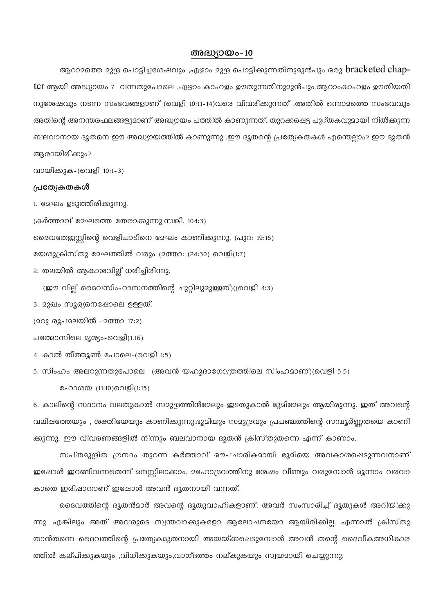## അദ്ധ്യായം-10

ആറാമത്തെ മുദ്ര പൊട്ടിച്ചശേഷവും ,ഏഴാം മുദ്ര പൊട്ടിക്കുന്നതിനുമുൻപും ഒരു  $bracket d$  chapter ആയി അദ്ധ്യായം 7 വന്നതുപോലെ ,ഏഴാം കാഹളം ഊതുന്നതിനുമുൻപും,ആറാംകാഹളം ഊതിയതി നുശേഷവും നടന്ന സംഭവങ്ങളാണ് (വെളി 10:11-14)വരെ വിവരിക്കുന്നത് .അതിൽ ഒന്നാമത്തെ സംഭവവും അതിന്റെ അനന്തരഫലങ്ങളുമാണ് അദ്ധ്യായം പത്തിൽ കാണുന്നത്. തുറക്കഷെട്ട പുാ്തകവുമായി നിൽക്കുന്ന ബലവാനായ ദൂതനെ ഈ അദ്ധ്യായത്തിൽ കാണുന്നു .ഈ ദൂതന്റെ പ്രത്യേകതകൾ എന്തെല്ലാം? ഈ ദൂതൻ ആരായിരിക്കും?

വായിക്കുക-(വെളി 10:1-3)

#### പ്രത്യേകതകൾ

(കർത്താവ് മേഘത്തെ തേരാക്കുന്നു.സങ്കീ. 104:3)

ദൈവതേജസ്കിന്റെ വെളിപാടിനെ മേഘം കാണിക്കുന്നു. (പുറ: 19:16)

യേശുക്രിസ്തു മേഘത്തിൽ വരും (മത്താ: (24:30) വെളി(1:7)

2. തലയിൽ ആകാശവില് ധരിച്ചിരിന്നു.

(ഈ വില്ല് ദൈവസിംഹാസനത്തിന്റെ ചുറ്റിലുമുള്ളത്)((വെളി 4:3)

3. മുഖം സൂര്യനെഷോലെ ഉള്ളത്.

(202 രൂപ2ലയിൽ -2ത്താ 17:2)

പത്മോസിലെ ദൃശ്യം-വെളി(1.16)

4. കാൽ തീത്തൂൺ പോലെ-(വെളി 1:5)

5. സിംഹം അലറുന്നതുപോലെ -(അവൻ യഹൂദാഗോത്രത്തിലെ സിംഹമാണ്)(വെളി 5:5)

ഹോശയ (11:10)വെളി(1:15)

6. കാലിന്റെ സ്ഥാനം വലതുകാൽ സമുദ്രത്തിൻമേലും ഇടതുകാൽ ഭൂമിമേലും ആയിരുന്നു. ഇത് അവന്റെ വലിഷത്തേയും , ശക്തിയേയും കാണിക്കുന്നു.ഭൂമിയും സമുദ്രവും പ്രപഞ്ചത്തിന്റെ സമ്പൂർണ്ണതയെ കാണി ക്കുന്നു. ഈ വിവരണങ്ങളിൽ നിന്നും ബലവാനായ ദൂതൻ ക്രിസ്തുതന്നെ എന്ന് കാണാം.

സപ്തമുദ്രിത ഗ്രന്ഥം തുറന്ന കർത്താവ് ഔപചാരികമായി ഭൂമിയെ അവകാശപ്പെടുന്നവനാണ് ഇഷോൾ ഇറങ്ങിവന്നതെന്ന് മനസ്സിലാക്കാം. മഹോദ്രവത്തിനു ശേഷം വീണ്ടും വരുമ്പോൾ മൂന്നാം വരവാ കാതെ ഇരിഷാനാണ് ഇഷോൾ അവൻ ദൂതനായി വന്നത്.

ദൈവത്തിന്റെ ദൂതൻമാർ അവന്റെ ദൂതുവാഹികളാണ്. അവർ സംസാരിച്ച് ദൂതുകൾ അറിയിക്കു ന്നു. എങ്കിലും അത് അവരുടെ സ്വന്തവാക്കുകളോ ആലോചനയോ ആയിരിക്കില്ല. എന്നാൽ ക്രിസ്തു താൻതന്നെ ദൈവത്തിന്റെ പ്രത്യേകദൂതനായി അയയ്ക്കപ്പെടുമ്പോൾ അവൻ തന്റെ ദൈവീകഅധികാര ത്തിൽ കല്പിക്കുകയും ,വിധിക്കുകയും,വാഗ്ദത്തം നല്കുകയും സ്വയമായി ചെയ്യുന്നു.